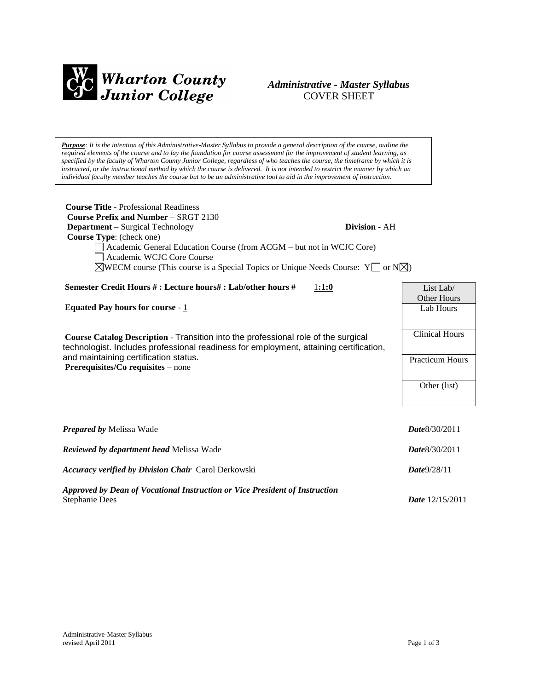

# *Administrative - Master Syllabus*  COVER SHEET

*Purpose: It is the intention of this Administrative-Master Syllabus to provide a general description of the course, outline the required elements of the course and to lay the foundation for course assessment for the improvement of student learning, as specified by the faculty of Wharton County Junior College, regardless of who teaches the course, the timeframe by which it is*  instructed, or the instructional method by which the course is delivered. It is not intended to restrict the manner by which an *individual faculty member teaches the course but to be an administrative tool to aid in the improvement of instruction.*

| <b>Course Title - Professional Readiness</b><br><b>Course Prefix and Number – SRGT 2130</b><br><b>Department</b> – Surgical Technology<br>Division - AH<br>Course Type: (check one)<br>Academic General Education Course (from ACGM – but not in WCJC Core)<br>Academic WCJC Core Course<br>$\boxtimes$ WECM course (This course is a Special Topics or Unique Needs Course: Y $\Box$ or N $\boxtimes$ ) |                          |
|----------------------------------------------------------------------------------------------------------------------------------------------------------------------------------------------------------------------------------------------------------------------------------------------------------------------------------------------------------------------------------------------------------|--------------------------|
| Semester Credit Hours #: Lecture hours#: Lab/other hours #<br>1:1:0                                                                                                                                                                                                                                                                                                                                      | List Lab/                |
| <b>Equated Pay hours for course - 1</b>                                                                                                                                                                                                                                                                                                                                                                  | Other Hours<br>Lab Hours |
|                                                                                                                                                                                                                                                                                                                                                                                                          | <b>Clinical Hours</b>    |
| Course Catalog Description - Transition into the professional role of the surgical<br>technologist. Includes professional readiness for employment, attaining certification,                                                                                                                                                                                                                             |                          |
| and maintaining certification status.<br>Prerequisites/Co requisites – none                                                                                                                                                                                                                                                                                                                              | <b>Practicum Hours</b>   |
|                                                                                                                                                                                                                                                                                                                                                                                                          | Other (list)             |
|                                                                                                                                                                                                                                                                                                                                                                                                          |                          |
|                                                                                                                                                                                                                                                                                                                                                                                                          |                          |
| <b>Prepared by Melissa Wade</b>                                                                                                                                                                                                                                                                                                                                                                          | Date 8/30/2011           |
| Reviewed by department head Melissa Wade                                                                                                                                                                                                                                                                                                                                                                 | Date 8/30/2011           |
| <b>Accuracy verified by Division Chair Carol Derkowski</b>                                                                                                                                                                                                                                                                                                                                               | Date9/28/11              |
| Approved by Dean of Vocational Instruction or Vice President of Instruction<br><b>Stephanie Dees</b>                                                                                                                                                                                                                                                                                                     | Date 12/15/2011          |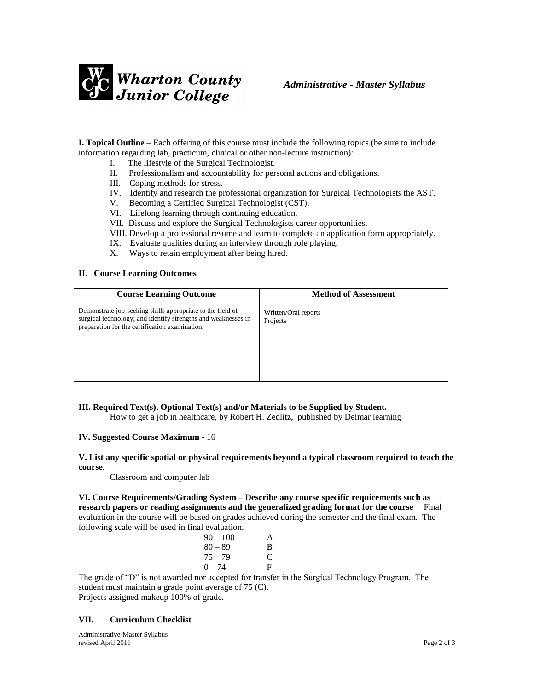

**I. Topical Outline** – Each offering of this course must include the following topics (be sure to include information regarding lab, practicum, clinical or other non-lecture instruction):

- I. The lifestyle of the Surgical Technologist.
- II. Professionalism and accountability for personal actions and obligations.
- III. Coping methods for stress.
- IV. Identify and research the professional organization for Surgical Technologists the AST.
- V. Becoming a Certified Surgical Technologist (CST).
- VI. Lifelong learning through continuing education.
- VII. Discuss and explore the Surgical Technologists career opportunities.
- VIII. Develop a professional resume and learn to complete an application form appropriately.
- IX. Evaluate qualities during an interview through role playing.
- X. Ways to retain employment after being hired.

### **II. Course Learning Outcomes**

| <b>Course Learning Outcome</b>                                                                                                                                                | <b>Method of Assessment</b>      |
|-------------------------------------------------------------------------------------------------------------------------------------------------------------------------------|----------------------------------|
| Demonstrate job-seeking skills appropriate to the field of<br>surgical technology; and identify strengths and weaknesses in<br>preparation for the certification examination. | Written/Oral reports<br>Projects |

# **III. Required Text(s), Optional Text(s) and/or Materials to be Supplied by Student.**

How to get a job in healthcare, by Robert H. Zedlitz, published by Delmar learning

### **IV. Suggested Course Maximum** - 16

### **V. List any specific spatial or physical requirements beyond a typical classroom required to teach the course**.

Classroom and computer lab

**VI. Course Requirements/Grading System – Describe any course specific requirements such as research papers or reading assignments and the generalized grading format for the course** Final evaluation in the course will be based on grades achieved during the semester and the final exam. The following scale will be used in final evaluation.

| $90 - 100$ | A |
|------------|---|
| $80 - 89$  | B |
| $75 - 79$  | C |
| $() - 74$  | F |

The grade of "D" is not awarded nor accepted for transfer in the Surgical Technology Program. The student must maintain a grade point average of 75 (C).

Projects assigned makeup 100% of grade.

## **VII. Curriculum Checklist**